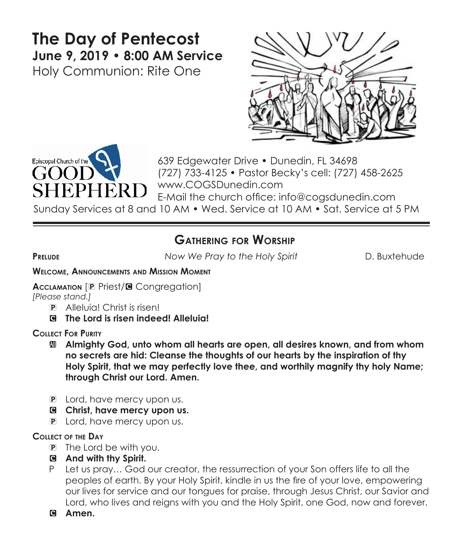# **The Day of Pentecost June 9, 2019 • 8:00 AM Service**  Holy Communion: Rite One





639 Edgewater Drive • Dunedin, FL 34698 (727) 733-4125 • Pastor Becky's cell: (727) 458-2625 www.COGSDunedin.com E-Mail the church office: info@cogsdunedin.com

Sunday Services at 8 and 10 AM • Wed. Service at 10 AM • Sat. Service at 5 PM

# **Gathering for Worship**

**PRELUDE** *Now We Pray to the Holy Spirit* D. Buxtehude

## **Welcome, Announcements and Mission Moment**

**Acclamation** [P Priest/**G** Congregation]

*[Please stand.]* 

- P Alleluia! Christ is risen!
- C **The Lord is risen indeed! Alleluia!**

**Collect For Purity**

- a **Almighty God, unto whom all hearts are open, all desires known, and from whom no secrets are hid: Cleanse the thoughts of our hearts by the inspiration of thy Holy Spirit, that we may perfectly love thee, and worthily magnify thy holy Name; through Christ our Lord. Amen.**
- **P** Lord, have mercy upon us.
- C **Christ, have mercy upon us.**
- **P** Lord, have mercy upon us.

# **Collect of the Day**

- P The Lord be with you.
- C **And with thy Spirit.**
- P Let us pray… God our creator, the ressurrection of your Son offers life to all the peoples of earth. By your Holy Spirit, kindle in us the fire of your love, empowering our lives for service and our tongues for praise, through Jesus Christ, our Savior and Lord, who lives and reigns with you and the Holy Spirit, one God, now and forever.

C **Amen.**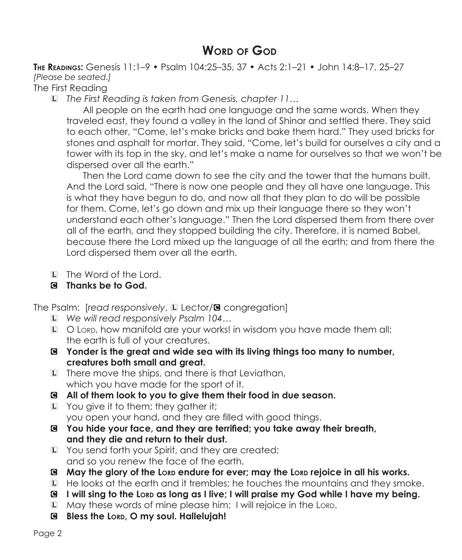# **Word of God**

**The Readings:** Genesis 11:1–9 • Psalm 104:25–35, 37 • Acts 2:1–21 • John 14:8–17, 25–27 *[Please be seated.]*

#### The First Reading

L *The First Reading is taken from Genesis, chapter 11…*

 All people on the earth had one language and the same words. When they traveled east, they found a valley in the land of Shinar and settled there. They said to each other, "Come, let's make bricks and bake them hard." They used bricks for stones and asphalt for mortar. They said, "Come, let's build for ourselves a city and a tower with its top in the sky, and let's make a name for ourselves so that we won't be dispersed over all the earth."

 Then the Lord came down to see the city and the tower that the humans built. And the Lord said, "There is now one people and they all have one language. This is what they have begun to do, and now all that they plan to do will be possible for them. Come, let's go down and mix up their language there so they won't understand each other's language." Then the Lord dispersed them from there over all of the earth, and they stopped building the city. Therefore, it is named Babel, because there the Lord mixed up the language of all the earth; and from there the Lord dispersed them over all the earth.

- L The Word of the Lord.
- C **Thanks be to God.**

The Psalm: [read responsively, L Lector/<sup>g</sup> congregation]

- L *We will read responsively Psalm 104…*
- L O Lord, how manifold are your works! in wisdom you have made them all; the earth is full of your creatures.
- C **Yonder is the great and wide sea with its living things too many to number, creatures both small and great.**
- L There move the ships, and there is that Leviathan, which you have made for the sport of it.
- C **All of them look to you to give them their food in due season.**
- L You give it to them; they gather it; you open your hand, and they are filled with good things.
- C **You hide your face, and they are terrified; you take away their breath, and they die and return to their dust.**
- L You send forth your Spirit, and they are created; and so you renew the face of the earth.
- C **May the glory of the Lord endure for ever; may the Lord rejoice in all his works.**
- L He looks at the earth and it trembles; he touches the mountains and they smoke.
- C **I will sing to the Lord as long as I live; I will praise my God while I have my being.**
- L May these words of mine please him; I will rejoice in the Lord.
- C **Bless the Lord, O my soul. Hallelujah!**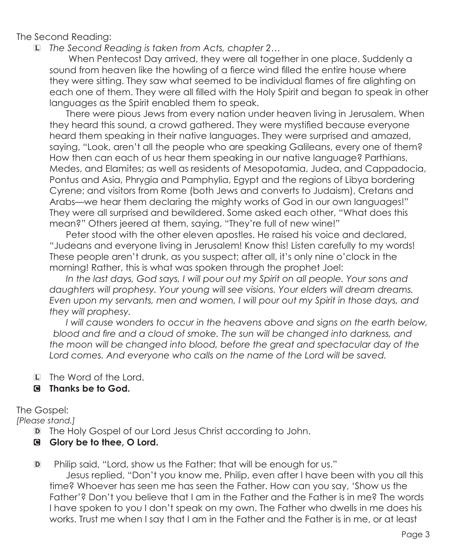The Second Reading:

L *The Second Reading is taken from Acts, chapter 2…*

 When Pentecost Day arrived, they were all together in one place. Suddenly a sound from heaven like the howling of a fierce wind filled the entire house where they were sitting. They saw what seemed to be individual flames of fire alighting on each one of them. They were all filled with the Holy Spirit and began to speak in other languages as the Spirit enabled them to speak.

 There were pious Jews from every nation under heaven living in Jerusalem. When they heard this sound, a crowd gathered. They were mystified because everyone heard them speaking in their native languages. They were surprised and amazed, saying, "Look, aren't all the people who are speaking Galileans, every one of them? How then can each of us hear them speaking in our native language? Parthians, Medes, and Elamites; as well as residents of Mesopotamia, Judea, and Cappadocia, Pontus and Asia, Phrygia and Pamphylia, Egypt and the regions of Libya bordering Cyrene; and visitors from Rome (both Jews and converts to Judaism), Cretans and Arabs—we hear them declaring the mighty works of God in our own languages!" They were all surprised and bewildered. Some asked each other, "What does this mean?" Others jeered at them, saying, "They're full of new wine!"

 Peter stood with the other eleven apostles. He raised his voice and declared, "Judeans and everyone living in Jerusalem! Know this! Listen carefully to my words! These people aren't drunk, as you suspect; after all, it's only nine o'clock in the morning! Rather, this is what was spoken through the prophet Joel:

In the last days, God says, I will pour out my Spirit on all people. Your sons and *daughters will prophesy. Your young will see visions. Your elders will dream dreams. Even upon my servants, men and women, I will pour out my Spirit in those days, and they will prophesy.*

 *I will cause wonders to occur in the heavens above and signs on the earth below, blood and fire and a cloud of smoke. The sun will be changed into darkness, and the moon will be changed into blood, before the great and spectacular day of the Lord comes. And everyone who calls on the name of the Lord will be saved.*

L The Word of the Lord.

C **Thanks be to God.**

The Gospel:

*[Please stand.]*

- D The Holy Gospel of our Lord Jesus Christ according to John.
- C **Glory be to thee, O Lord.**
- D Philip said, "Lord, show us the Father; that will be enough for us."

 Jesus replied, "Don't you know me, Philip, even after I have been with you all this time? Whoever has seen me has seen the Father. How can you say, 'Show us the Father'? Don't you believe that I am in the Father and the Father is in me? The words I have spoken to you I don't speak on my own. The Father who dwells in me does his works. Trust me when I say that I am in the Father and the Father is in me, or at least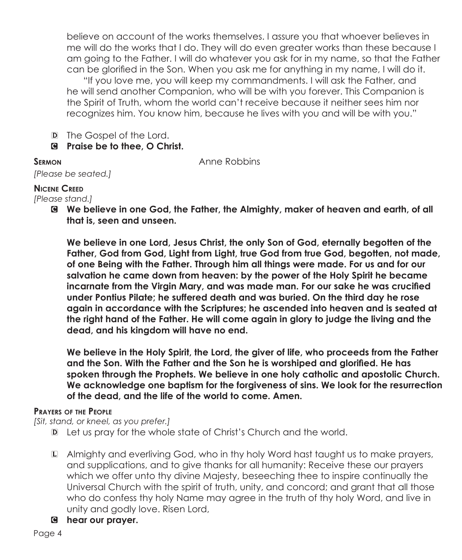believe on account of the works themselves. I assure you that whoever believes in me will do the works that I do. They will do even greater works than these because I am going to the Father. I will do whatever you ask for in my name, so that the Father can be glorified in the Son. When you ask me for anything in my name, I will do it.

 "If you love me, you will keep my commandments. I will ask the Father, and he will send another Companion, who will be with you forever. This Companion is the Spirit of Truth, whom the world can't receive because it neither sees him nor recognizes him. You know him, because he lives with you and will be with you."

- D The Gospel of the Lord.
- C **Praise be to thee, O Christ.**

**SERMON Anne Robbins** 

*[Please be seated.]*

## **Nicene Creed**

*[Please stand.]*

C **We believe in one God, the Father, the Almighty, maker of heaven and earth, of all that is, seen and unseen.** 

 **We believe in one Lord, Jesus Christ, the only Son of God, eternally begotten of the Father, God from God, Light from Light, true God from true God, begotten, not made, of one Being with the Father. Through him all things were made. For us and for our salvation he came down from heaven: by the power of the Holy Spirit he became incarnate from the Virgin Mary, and was made man. For our sake he was crucified under Pontius Pilate; he suffered death and was buried. On the third day he rose again in accordance with the Scriptures; he ascended into heaven and is seated at the right hand of the Father. He will come again in glory to judge the living and the dead, and his kingdom will have no end.**

 **We believe in the Holy Spirit, the Lord, the giver of life, who proceeds from the Father and the Son. With the Father and the Son he is worshiped and glorified. He has spoken through the Prophets. We believe in one holy catholic and apostolic Church. We acknowledge one baptism for the forgiveness of sins. We look for the resurrection of the dead, and the life of the world to come. Amen.**

## **Prayers of the People**

*[Sit, stand, or kneel, as you prefer.]*

- D Let us pray for the whole state of Christ's Church and the world.
- L Almighty and everliving God, who in thy holy Word hast taught us to make prayers, and supplications, and to give thanks for all humanity: Receive these our prayers which we offer unto thy divine Majesty, beseeching thee to inspire continually the Universal Church with the spirit of truth, unity, and concord; and grant that all those who do confess thy holy Name may agree in the truth of thy holy Word, and live in unity and godly love. Risen Lord,
- C **hear our prayer.**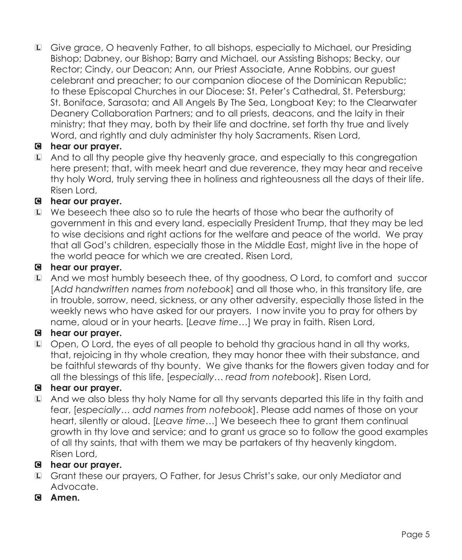L Give grace, O heavenly Father, to all bishops, especially to Michael, our Presiding Bishop; Dabney, our Bishop; Barry and Michael, our Assisting Bishops; Becky, our Rector; Cindy, our Deacon; Ann, our Priest Associate, Anne Robbins, our guest celebrant and preacher; to our companion diocese of the Dominican Republic; to these Episcopal Churches in our Diocese: St. Peter's Cathedral, St. Petersburg; St. Boniface, Sarasota; and All Angels By The Sea, Longboat Key; to the Clearwater Deanery Collaboration Partners; and to all priests, deacons, and the laity in their ministry; that they may, both by their life and doctrine, set forth thy true and lively Word, and rightly and duly administer thy holy Sacraments. Risen Lord,

## C **hear our prayer.**

L And to all thy people give thy heavenly grace, and especially to this congregation here present; that, with meek heart and due reverence, they may hear and receive thy holy Word, truly serving thee in holiness and righteousness all the days of their life. Risen Lord,

## C **hear our prayer.**

L We beseech thee also so to rule the hearts of those who bear the authority of government in this and every land, especially President Trump, that they may be led to wise decisions and right actions for the welfare and peace of the world. We pray that all God's children, especially those in the Middle East, might live in the hope of the world peace for which we are created. Risen Lord,

## C **hear our prayer.**

L And we most humbly beseech thee, of thy goodness, O Lord, to comfort and succor [*Add handwritten names from notebook*] and all those who, in this transitory life, are in trouble, sorrow, need, sickness, or any other adversity, especially those listed in the weekly news who have asked for our prayers. I now invite you to pray for others by name, aloud or in your hearts. [*Leave time…*] We pray in faith. Risen Lord,

#### C **hear our prayer.**

L Open, O Lord, the eyes of all people to behold thy gracious hand in all thy works, that, rejoicing in thy whole creation, they may honor thee with their substance, and be faithful stewards of thy bounty. We give thanks for the flowers given today and for all the blessings of this life, [*especially… read from notebook*]. Risen Lord,

## C **hear our prayer.**

L And we also bless thy holy Name for all thy servants departed this life in thy faith and fear, [*especially… add names from notebook*]. Please add names of those on your heart, silently or aloud. [*Leave time…*] We beseech thee to grant them continual growth in thy love and service; and to grant us grace so to follow the good examples of all thy saints, that with them we may be partakers of thy heavenly kingdom. Risen Lord,

## C **hear our prayer.**

- L Grant these our prayers, O Father, for Jesus Christ's sake, our only Mediator and Advocate.
- C **Amen.**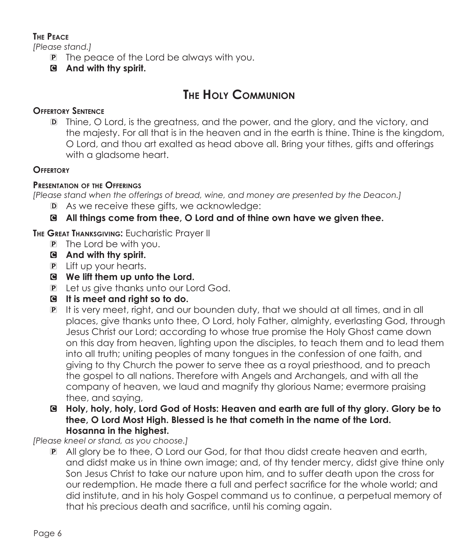# **The Peace**

*[Please stand.]*

- P The peace of the Lord be always with you.
- C **And with thy spirit.**

# **The Holy Communion**

# **Offertory Sentence**

D Thine, O Lord, is the greatness, and the power, and the glory, and the victory, and the majesty. For all that is in the heaven and in the earth is thine. Thine is the kingdom, O Lord, and thou art exalted as head above all. Bring your tithes, gifts and offerings with a gladsome heart.

# **Offertory**

# **Presentation of the Offerings**

*[Please stand when the offerings of bread, wine, and money are presented by the Deacon.]*

D As we receive these gifts, we acknowledge:

# C **All things come from thee, O Lord and of thine own have we given thee.**

**THE GREAT THANKSGIVING: EUCharistic Prayer II** 

- P The Lord be with you.
- C **And with thy spirit.**
- P Lift up your hearts.
- C **We lift them up unto the Lord.**
- P Let us give thanks unto our Lord God.
- C **It is meet and right so to do.**
- P It is very meet, right, and our bounden duty, that we should at all times, and in all places, give thanks unto thee, O Lord, holy Father, almighty, everlasting God, through Jesus Christ our Lord; according to whose true promise the Holy Ghost came down on this day from heaven, lighting upon the disciples, to teach them and to lead them into all truth; uniting peoples of many tongues in the confession of one faith, and giving to thy Church the power to serve thee as a royal priesthood, and to preach the gospel to all nations. Therefore with Angels and Archangels, and with all the company of heaven, we laud and magnify thy glorious Name; evermore praising thee, and saying,
- C **Holy, holy, holy, Lord God of Hosts: Heaven and earth are full of thy glory. Glory be to thee, O Lord Most High. Blessed is he that cometh in the name of the Lord. Hosanna in the highest.**

*[Please kneel or stand, as you choose.]*

P All glory be to thee, O Lord our God, for that thou didst create heaven and earth, and didst make us in thine own image; and, of thy tender mercy, didst give thine only Son Jesus Christ to take our nature upon him, and to suffer death upon the cross for our redemption. He made there a full and perfect sacrifice for the whole world; and did institute, and in his holy Gospel command us to continue, a perpetual memory of that his precious death and sacrifice, until his coming again.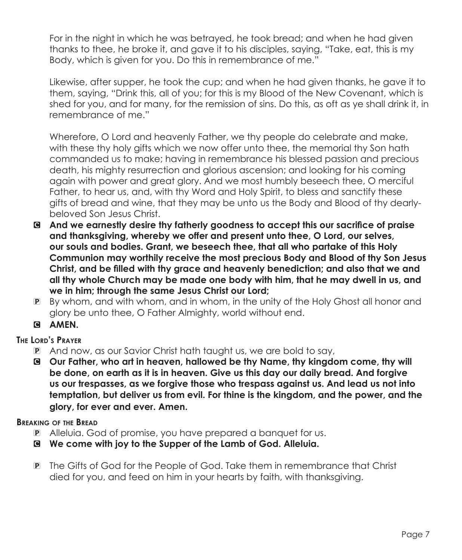For in the night in which he was betrayed, he took bread; and when he had given thanks to thee, he broke it, and gave it to his disciples, saying, "Take, eat, this is my Body, which is given for you. Do this in remembrance of me."

 Likewise, after supper, he took the cup; and when he had given thanks, he gave it to them, saying, "Drink this, all of you; for this is my Blood of the New Covenant, which is shed for you, and for many, for the remission of sins. Do this, as oft as ye shall drink it, in remembrance of me."

Wherefore, O Lord and heavenly Father, we thy people do celebrate and make, with these thy holy gifts which we now offer unto thee, the memorial thy Son hath commanded us to make; having in remembrance his blessed passion and precious death, his mighty resurrection and glorious ascension; and looking for his coming again with power and great glory. And we most humbly beseech thee, O merciful Father, to hear us, and, with thy Word and Holy Spirit, to bless and sanctify these gifts of bread and wine, that they may be unto us the Body and Blood of thy dearlybeloved Son Jesus Christ.

- C **And we earnestly desire thy fatherly goodness to accept this our sacrifice of praise and thanksgiving, whereby we offer and present unto thee, O Lord, our selves, our souls and bodies. Grant, we beseech thee, that all who partake of this Holy Communion may worthily receive the most precious Body and Blood of thy Son Jesus Christ, and be filled with thy grace and heavenly benediction; and also that we and all thy whole Church may be made one body with him, that he may dwell in us, and we in him; through the same Jesus Christ our Lord;**
- P By whom, and with whom, and in whom, in the unity of the Holy Ghost all honor and glory be unto thee, O Father Almighty, world without end.

# C **AMEN.**

# **The Lord's Prayer**

- P And now, as our Savior Christ hath taught us, we are bold to say,
- C **Our Father, who art in heaven, hallowed be thy Name, thy kingdom come, thy will be done, on earth as it is in heaven. Give us this day our daily bread. And forgive us our trespasses, as we forgive those who trespass against us. And lead us not into temptation, but deliver us from evil. For thine is the kingdom, and the power, and the glory, for ever and ever. Amen.**

## **Breaking of the Bread**

- P Alleluia. God of promise, you have prepared a banquet for us.
- C **We come with joy to the Supper of the Lamb of God. Alleluia.**
- P The Gifts of God for the People of God. Take them in remembrance that Christ died for you, and feed on him in your hearts by faith, with thanksgiving.